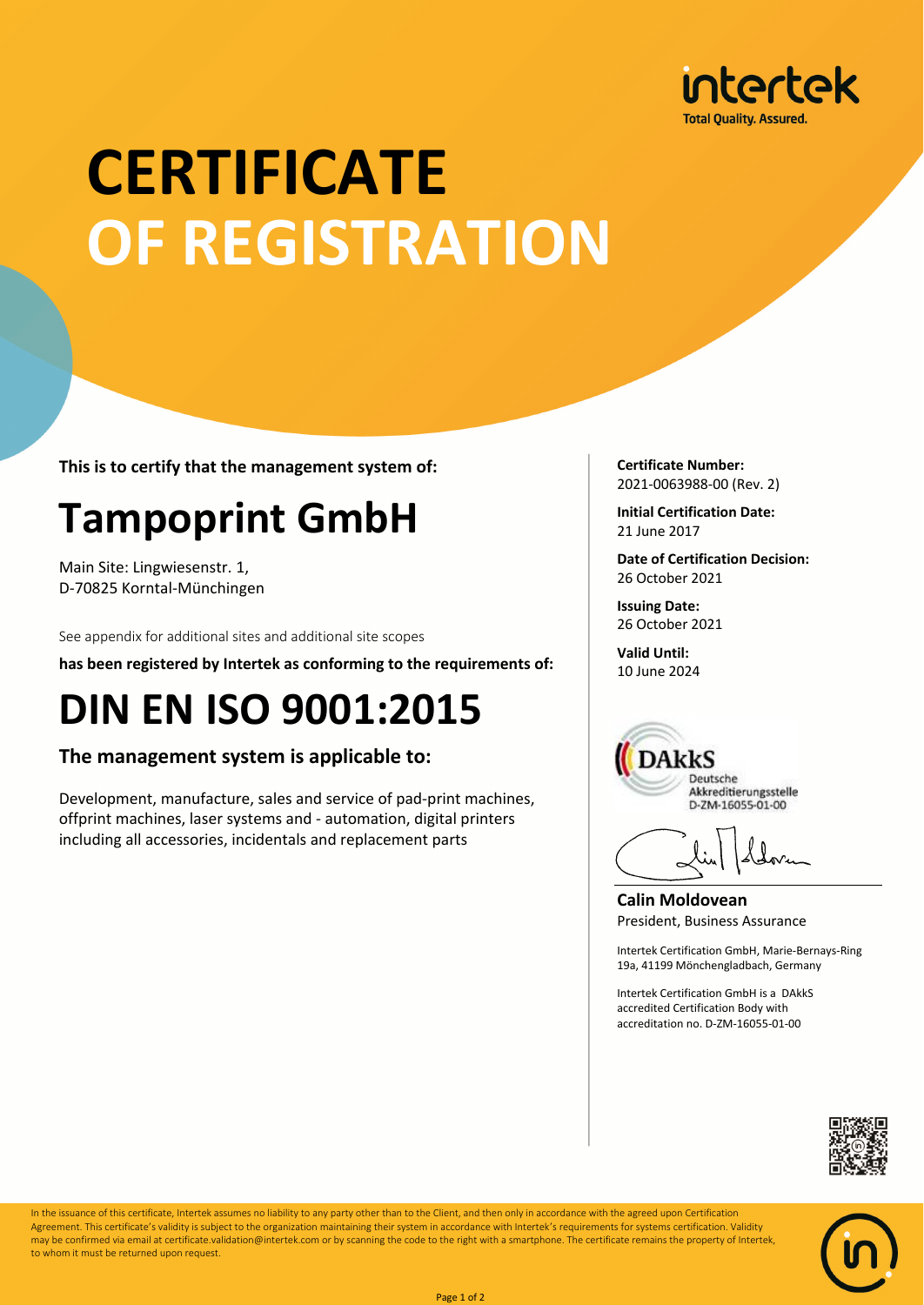

# **CERTIFICATE OF REGISTRATION**

**This is to certify that the management system of:**

## **Tampoprint GmbH**

Main Site: Lingwiesenstr. 1, D-70825 Korntal-Münchingen

See appendix for additional sites and additional site scopes

**has been registered by Intertek as conforming to the requirements of:**

### **DIN EN ISO 9001:2015**

#### **The management system is applicable to:**

Development, manufacture, sales and service of pad-print machines, offprint machines, laser systems and - automation, digital printers including all accessories, incidentals and replacement parts

**Certificate Number:** 2021-0063988-00 (Rev. 2)

**Initial Certification Date:** 21 June 2017

**Date of Certification Decision:** 26 October 2021

**Issuing Date:** 26 October 2021

**Valid Until:** 10 June 2024



**Calin Moldovean** President, Business Assurance

Intertek Certification GmbH, Marie-Bernays-Ring 19a, 41199 Mönchengladbach, Germany

Intertek Certification GmbH is a DAkkS accredited Certification Body with accreditation no. D-ZM-16055-01-00





In the issuance of this certificate, Intertek assumes no liability to any party other than to the Client, and then only in accordance with the agreed upon Certification Agreement. This certificate's validity is subject to the organization maintaining their system in accordance with Intertek's requirements for systems certification. Validity may be confirmed via email at certificate.validation@intertek.com or by scanning the code to the right with a smartphone. The certificate remains the property of Intertek, to whom it must be returned upon request.